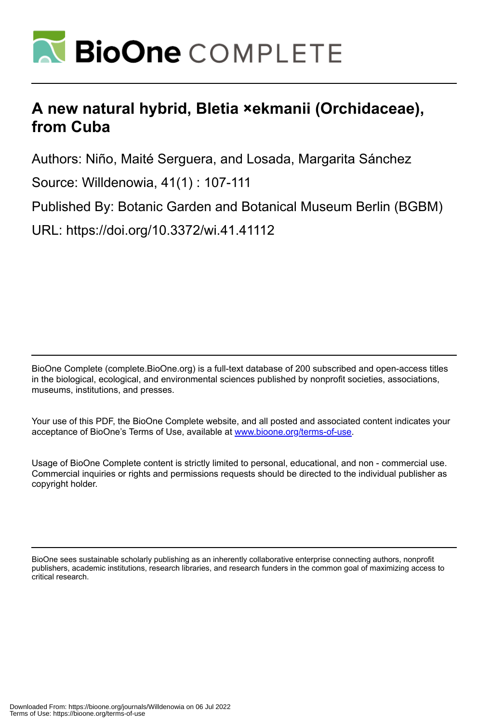

# **A new natural hybrid, Bletia ×ekmanii (Orchidaceae), from Cuba**

Authors: Niño, Maité Serguera, and Losada, Margarita Sánchez

Source: Willdenowia, 41(1) : 107-111

Published By: Botanic Garden and Botanical Museum Berlin (BGBM)

URL: https://doi.org/10.3372/wi.41.41112

BioOne Complete (complete.BioOne.org) is a full-text database of 200 subscribed and open-access titles in the biological, ecological, and environmental sciences published by nonprofit societies, associations, museums, institutions, and presses.

Your use of this PDF, the BioOne Complete website, and all posted and associated content indicates your acceptance of BioOne's Terms of Use, available at www.bioone.org/terms-of-use.

Usage of BioOne Complete content is strictly limited to personal, educational, and non - commercial use. Commercial inquiries or rights and permissions requests should be directed to the individual publisher as copyright holder.

BioOne sees sustainable scholarly publishing as an inherently collaborative enterprise connecting authors, nonprofit publishers, academic institutions, research libraries, and research funders in the common goal of maximizing access to critical research.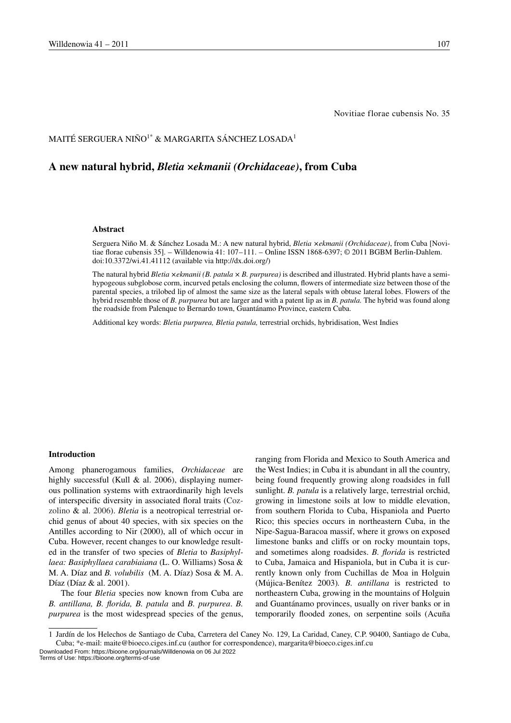## MAITÉ SERGUERA NIÑO<sup>1\*</sup> & MARGARITA SÁNCHEZ LOSADA<sup>1</sup>

## **A new natural hybrid,** *Bletia ×ekmanii (Orchidaceae)***, from Cuba**

#### **Abstract**

Serguera Niño M. & Sánchez Losada M.: A new natural hybrid, *Bletia ×ekmanii (Orchidaceae)*, from Cuba [Novitiae florae cubensis 35]. – Willdenowia 41: 107–111. – Online ISSN 1868-6397; © 2011 BGBM Berlin-Dahlem. doi:10.3372/wi.41.41112 (available via http://dx.doi.org/)

The natural hybrid *Bletia ×ekmanii (B. patula × B. purpurea)* is described and illustrated. Hybrid plants have a semihypogeous subglobose corm, incurved petals enclosing the column, flowers of intermediate size between those of the parental species, a trilobed lip of almost the same size as the lateral sepals with obtuse lateral lobes. Flowers of the hybrid resemble those of *B. purpurea* but are larger and with a patent lip as in *B. patula.* The hybrid was found along the roadside from Palenque to Bernardo town, Guantánamo Province, eastern Cuba.

Additional key words: *Bletia purpurea, Bletia patula,* terrestrial orchids, hybridisation, West Indies

#### **Introduction**

Among phanerogamous families, *Orchidaceae* are highly successful (Kull  $&$  al. 2006), displaying numerous pollination systems with extraordinarily high levels of interspecific diversity in associated floral traits (Cozzolino & al. 2006). *Bletia* is a neotropical terrestrial orchid genus of about 40 species, with six species on the Antilles according to Nir (2000), all of which occur in Cuba. However, recent changes to our knowledge resulted in the transfer of two species of *Bletia* to *Basiphyllaea: Basiphyllaea carabiaiana* (L. O. Williams) Sosa & M. A. Díaz and *B. volubilis* (M. A. Díaz) Sosa & M. A. Díaz (Díaz & al. 2001).

The four *Bletia* species now known from Cuba are *B. antillana, B. florida, B. patula* and *B. purpurea*. *B. purpurea* is the most widespread species of the genus, ranging from Florida and Mexico to South America and the West Indies; in Cuba it is abundant in all the country, being found frequently growing along roadsides in full sunlight. *B. patula* is a relatively large, terrestrial orchid, growing in limestone soils at low to middle elevation, from southern Florida to Cuba, Hispaniola and Puerto Rico; this species occurs in northeastern Cuba, in the Nipe-Sagua-Baracoa massif, where it grows on exposed limestone banks and cliffs or on rocky mountain tops, and sometimes along roadsides. *B. florida* is restricted to Cuba, Jamaica and Hispaniola, but in Cuba it is currently known only from Cuchillas de Moa in Holguin (Mdjica-Benítez 2003)*. B. antillana* is restricted to northeastern Cuba, growing in the mountains of Holguin and Guantánamo provinces, usually on river banks or in temporarily flooded zones, on serpentine soils (Acuña

Downloaded From: https://bioone.org/journals/Willdenowia on 06 Jul 2022 Terms of Use: https://bioone.org/terms-of-use

<sup>1</sup> Jardín de los Helechos de Santiago de Cuba, Carretera del Caney No. 129, La Caridad, Caney, C.P. 90400, Santiago de Cuba, Cuba; \*e-mail: maite@bioeco.ciges.inf.cu (author for correspondence), margarita@bioeco.ciges.inf.cu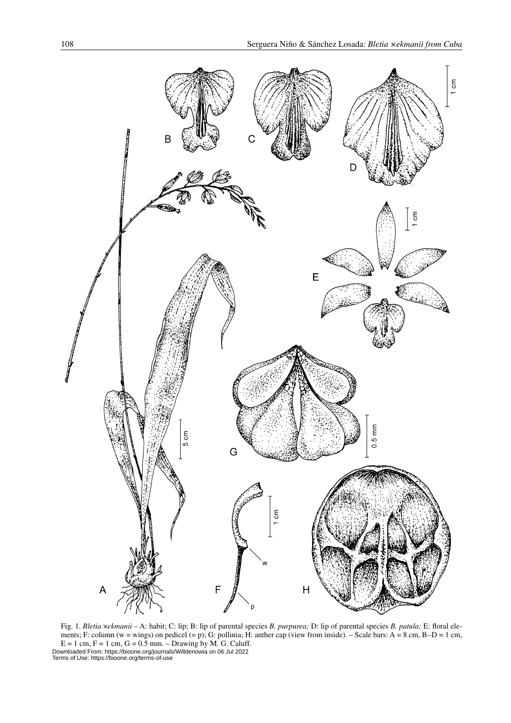

Fig. 1. *Bletia* ×*ekmanii* – A: habit; C: lip; B: lip of parental species *B. purpurea;* D: lip of parental species *B. patula;* E: floral elements; F: column (w = wings) on pedicel (= p); G: pollinia; H: anther cap (view from inside). – Scale bars: A = 8 cm, B–D = 1 cm,  $E = 1$  cm,  $F = 1$  cm,  $G = 0.5$  mm. – Drawing by M. G. Caluff. Downloaded From: https://bioone.org/journals/Willdenowia on 06 Jul 2022 Terms of Use: https://bioone.org/terms-of-use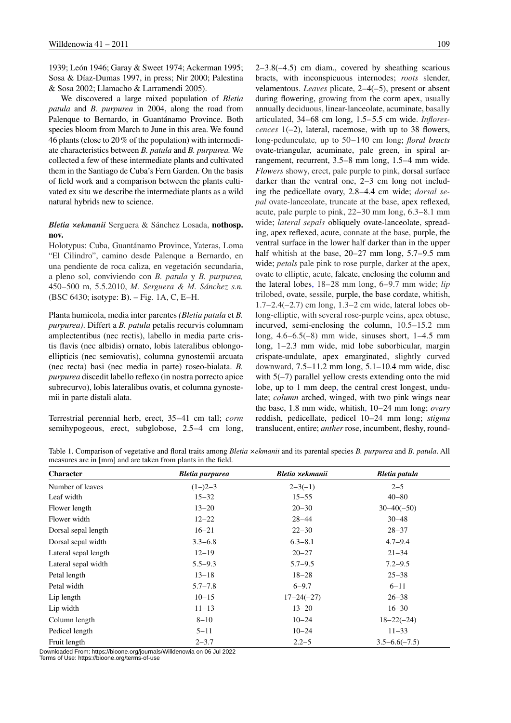1939; León 1946; Garay & Sweet 1974; Ackerman 1995; Sosa & Díaz-Dumas 1997, in press; Nir 2000; Palestina & Sosa 2002; Llamacho & Larramendi 2005).

We discovered a large mixed population of *Bletia patula* and *B. purpurea* in 2004, along the road from Palenque to Bernardo, in Guantánamo Province. Both species bloom from March to June in this area. We found 46 plants (close to 20% of the population) with intermediate characteristics between *B. patula* and *B. purpurea.* We collected a few of these intermediate plants and cultivated them in the Santiago de Cuba's Fern Garden. On the basis of field work and a comparison between the plants cultivated ex situ we describe the intermediate plants as a wild natural hybrids new to science.

### *Bletia ×ekmanii* Serguera & Sánchez Losada, **nothosp. nov.**

Holotypus: Cuba, Guantánamo Province, Yateras, Loma "El Cilindro", camino desde Palenque a Bernardo, en una pendiente de roca caliza, en vegetación secundaria, a pleno sol, conviviendo con *B. patula* y *B. purpurea,*  450–500 m, 5.5.2010, *M. Serguera & M. Sánchez s.n.* (BSC 6430; isotype: B). – Fig. 1A, C, E–H.

Planta humicola, media inter parentes *(Bletia patula* et *B. purpurea)*. Differt a *B. patula* petalis recurvis columnam amplectentibus (nec rectis), labello in media parte cristis flavis (nec albidis) ornato, lobis lateralibus oblongoellipticis (nec semiovatis), columna gynostemii arcuata (nec recta) basi (nec media in parte) roseo-bialata. *B. purpurea* discedit labello reflexo (in nostra porrecto apice subrecurvo), lobis lateralibus ovatis, et columna gynostemii in parte distali alata.

Terrestrial perennial herb, erect, 35–41 cm tall; *corm* semihypogeous, erect, subglobose, 2.5–4 cm long, 2–3.8(–4.5) cm diam., covered by sheathing scarious bracts, with inconspicuous internodes; *roots* slender, velamentous. *Leaves* plicate, 2–4(–5), present or absent during flowering, growing from the corm apex, usually annually deciduous, linear-lanceolate, acuminate, basally articulated, 34–68 cm long, 1.5–5.5 cm wide. *Inflorescences* 1(–2), lateral, racemose, with up to 38 flowers, long-pedunculate, up to 50–140 cm long; *floral bracts* ovate-triangular, acuminate, pale green, in spiral arrangement, recurrent, 3.5–8 mm long, 1.5–4 mm wide. *Flowers* showy, erect, pale purple to pink, dorsal surface darker than the ventral one, 2–3 cm long not including the pedicellate ovary, 2.8–4.4 cm wide; *dorsal sepal* ovate-lanceolate, truncate at the base, apex reflexed, acute, pale purple to pink, 22–30 mm long, 6.3–8.1 mm wide; *lateral sepals* obliquely ovate-lanceolate, spreading, apex reflexed, acute, connate at the base, purple, the ventral surface in the lower half darker than in the upper half whitish at the base, 20–27 mm long, 5.7–9.5 mm wide; *petals* pale pink to rose purple, darker at the apex, ovate to elliptic, acute, falcate, enclosing the column and the lateral lobes, 18–28 mm long, 6–9.7 mm wide; *lip* trilobed, ovate, sessile, purple, the base cordate, whitish, 1.7–2.4(–2.7) cm long, 1.3–2 cm wide, lateral lobes oblong-elliptic, with several rose-purple veins, apex obtuse, incurved, semi-enclosing the column, 10.5–15.2 mm long, 4.6–6.5(–8) mm wide, sinuses short, 1–4.5 mm long, 1–2.3 mm wide, mid lobe suborbicular, margin crispate-undulate, apex emarginated, slightly curved downward, 7.5–11.2 mm long, 5.1–10.4 mm wide, disc with  $5(-7)$  parallel yellow crests extending onto the mid lobe, up to 1 mm deep, the central crest longest, undulate; *column* arched, winged, with two pink wings near the base, 1.8 mm wide, whitish, 10–24 mm long; *ovary*  reddish, pedicellate, pedicel 10–24 mm long; *stigma* translucent, entire; *anther* rose, incumbent, fleshy, round-

Table 1. Comparison of vegetative and floral traits among *Bletia ×ekmanii* and its parental species *B. purpurea* and *B. patula*. All measures are in [mm] and are taken from plants in the field.

| <b>Character</b>     | Bletia purpurea | Bletia ×ekmanii | Bletia patula     |
|----------------------|-----------------|-----------------|-------------------|
| Number of leaves     | $(1-2-3)$       | $2 - 3(-1)$     | $2 - 5$           |
| Leaf width           | $15 - 32$       | $15 - 55$       | $40 - 80$         |
| Flower length        | $13 - 20$       | $20 - 30$       | $30 - 40(-50)$    |
| Flower width         | $12 - 22$       | $28 - 44$       | $30 - 48$         |
| Dorsal sepal length  | $16 - 21$       | $22 - 30$       | $28 - 37$         |
| Dorsal sepal width   | $3.3 - 6.8$     | $6.3 - 8.1$     | $4.7 - 9.4$       |
| Lateral sepal length | $12 - 19$       | $20 - 27$       | $21 - 34$         |
| Lateral sepal width  | $5.5 - 9.3$     | $5.7 - 9.5$     | $7.2 - 9.5$       |
| Petal length         | $13 - 18$       | $18 - 28$       | $25 - 38$         |
| Petal width          | $5.7 - 7.8$     | $6 - 9.7$       | $6 - 11$          |
| Lip length           | $10 - 15$       | $17 - 24(-27)$  | $26 - 38$         |
| Lip width            | $11 - 13$       | $13 - 20$       | $16 - 30$         |
| Column length        | $8 - 10$        | $10 - 24$       | $18 - 22(-24)$    |
| Pedicel length       | $5 - 11$        | $10 - 24$       | $11 - 33$         |
| Fruit length         | $2 - 3.7$       | $2.2 - 5$       | $3.5 - 6.6(-7.5)$ |

Downloaded From: https://bioone.org/journals/Willdenowia on 06 Jul 2022 Terms of Use: https://bioone.org/terms-of-use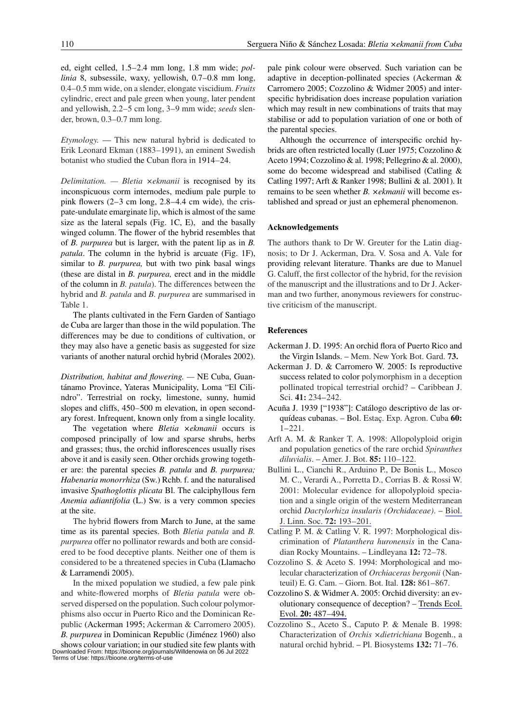ed, eight celled, 1.5–2.4 mm long, 1.8 mm wide; *pollinia* 8, subsessile, waxy, yellowish, 0.7–0.8 mm long, 0.4–0.5 mm wide, on a slender, elongate viscidium. *Fruits* cylindric, erect and pale green when young, later pendent and yellowish, 2.2–5 cm long, 3–9 mm wide; *seeds* slender, brown, 0.3–0.7 mm long.

*Etymology.* — This new natural hybrid is dedicated to Erik Leonard Ekman (1883–1991), an eminent Swedish botanist who studied the Cuban flora in 1914–24.

*Delimitation. — Bletia ×ekmanii* is recognised by its inconspicuous corm internodes, medium pale purple to pink flowers  $(2-3 \text{ cm} \text{ long}, 2.8-4.4 \text{ cm} \text{ wide})$ , the crispate-undulate emarginate lip, which is almost of the same size as the lateral sepals (Fig. 1C, E), and the basally winged column. The flower of the hybrid resembles that of *B. purpurea* but is larger, with the patent lip as in *B. patula*. The column in the hybrid is arcuate (Fig. 1F), similar to *B. purpurea,* but with two pink basal wings (these are distal in *B. purpurea,* erect and in the middle of the column in *B. patula*). The differences between the hybrid and *B. patula* and *B. purpurea* are summarised in Table 1.

The plants cultivated in the Fern Garden of Santiago de Cuba are larger than those in the wild population. The differences may be due to conditions of cultivation, or they may also have a genetic basis as suggested for size variants of another natural orchid hybrid (Morales 2002).

*Distribution, habitat and flowering. —* NE Cuba, Guantánamo Province, Yateras Municipality, Loma "El Cilindro". Terrestrial on rocky, limestone, sunny, humid slopes and cliffs, 450–500 m elevation, in open secondary forest. Infrequent, known only from a single locality.

The vegetation where *Bletia ×ekmanii* occurs is composed principally of low and sparse shrubs, herbs and grasses; thus, the orchid inflorescences usually rises above it and is easily seen. Other orchids growing together are: the parental species *B. patula* and *B. purpurea; Habenaria monorrhiza* (Sw.) Rchb. f. and the naturalised invasive *Spathoglottis plicata* Bl. The calciphyllous fern *Anemia adiantifolia* (L.) Sw. is a very common species at the site.

The hybrid flowers from March to June, at the same time as its parental species. Both *Bletia patula* and *B. purpurea* offer no pollinator rewards and both are considered to be food deceptive plants. Neither one of them is considered to be a threatened species in Cuba (Llamacho & Larramendi 2005).

In the mixed population we studied, a few pale pink and white-flowered morphs of *Bletia patula* were observed dispersed on the population. Such colour polymorphisms also occur in Puerto Rico and the Dominican Republic (Ackerman 1995; Ackerman & Carromero 2005). *B. purpurea* in Dominican Republic (Jiménez 1960) also

shows colour variation; in our studied site few plants with Downloaded From: https://bioone.org/journals/Willdenowia on 06 Jul 2022 Terms of Use: https://bioone.org/terms-of-use

pale pink colour were observed. Such variation can be adaptive in deception-pollinated species (Ackerman & Carromero 2005; Cozzolino & Widmer 2005) and interspecific hybridisation does increase population variation which may result in new combinations of traits that may stabilise or add to population variation of one or both of the parental species.

Although the occurrence of interspecific orchid hybrids are often restricted locally (Luer 1975; Cozzolino & Aceto 1994; Cozzolino & al. 1998; Pellegrino & al. 2000), some do become widespread and stabilised (Catling & Catling 1997; Arft & Ranker 1998; Bullini & al. 2001). It remains to be seen whether *B. ×ekmanii* will become established and spread or just an ephemeral phenomenon.

#### **Acknowledgements**

The authors thank to Dr W. Greuter for the Latin diagnosis; to Dr J. Ackerman, Dra. V. Sosa and A. Vale for providing relevant literature. Thanks are due to Manuel G. Caluff, the first collector of the hybrid, for the revision of the manuscript and the illustrations and to Dr J. Ackerman and two further, anonymous reviewers for constructive criticism of the manuscript.

#### **References**

- Ackerman J. D. 1995: An orchid flora of Puerto Rico and the Virgin Islands. – Mem. New York Bot. Gard. **73.**
- Ackerman J. D. & Carromero W. 2005: Is reproductive success related to color polymorphism in a deception pollinated tropical terrestrial orchid? – Caribbean J. Sci. **41:** 234–242.
- Acuña J. 1939 ["1938"]: Catálogo descriptivo de las orquídeas cubanas. – Bol. Estaç. Exp. Agron. Cuba **60:** 1–221.
- Arft A. M. & Ranker T. A. 1998: Allopolyploid origin and population genetics of the rare orchid *Spiranthes diluvialis*. – [Amer. J. Bot.](http://www.ingentaconnect.com/content/external-references?article=0002-9122()85L.110[aid=7350655]) **85:** 110–122.
- Bullini L., Cianchi R., Arduino P., De Bonis L., Mosco M. C., Verardi A., Porretta D., Corrias B. & Rossi W. 2001: Molecular evidence for allopolyploid speciation and a single origin of the western Mediterranean orchid *Dactylorhiza insularis (Orchidaceae)*. – [Biol.](http://www.ingentaconnect.com/content/external-references?article=0024-4066()72L.193[aid=6248900])  [J. Linn. Soc.](http://www.ingentaconnect.com/content/external-references?article=0024-4066()72L.193[aid=6248900]) **72:** 193–201.
- Catling P. M. & Catling V. R. 1997: Morphological discrimination of *Platanthera huronensis* in the Canadian Rocky Mountains. – Lindleyana **12:** 72–78.
- Cozzolino S. & Aceto S. 1994: Morphological and molecular characterization of *Orchiaceras bergonii* (Nanteuil) E. G. Cam. – Giorn. Bot. Ital. **128:** 861–867.
- Cozzolino S. & Widmer A. 2005: Orchid diversity: an evolutionary consequence of deception? – [Trends Ecol.](http://www.ingentaconnect.com/content/external-references?article=0169-5347()20L.487[aid=9327368])  Evol. **20:** [487–494.](http://www.ingentaconnect.com/content/external-references?article=0169-5347()20L.487[aid=9327368])
- Cozzolino S., Aceto S., Caputo P. & Menale B. 1998: Characterization of *Orchis ×dietrichiana* Bogenh., a natural orchid hybrid. – Pl. Biosystems **132:** 71–76.